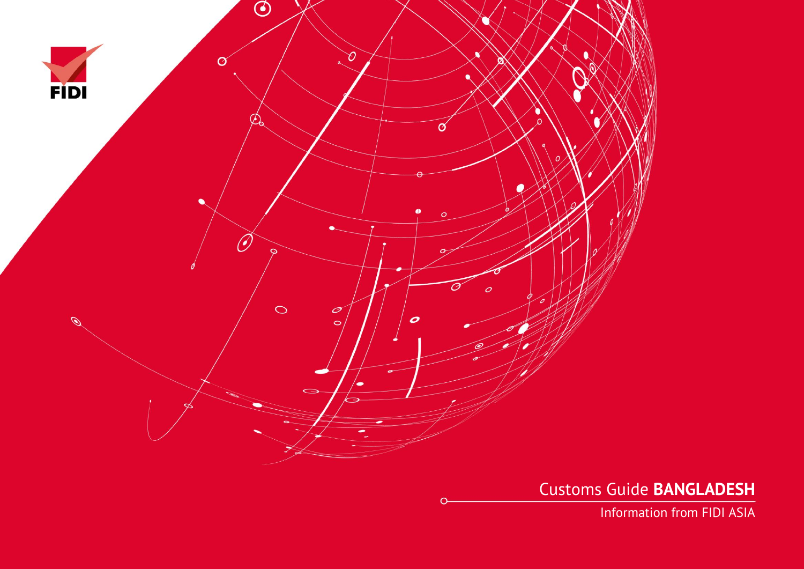

Customs Guide **BANGLADESH**

Information from FIDI ASIA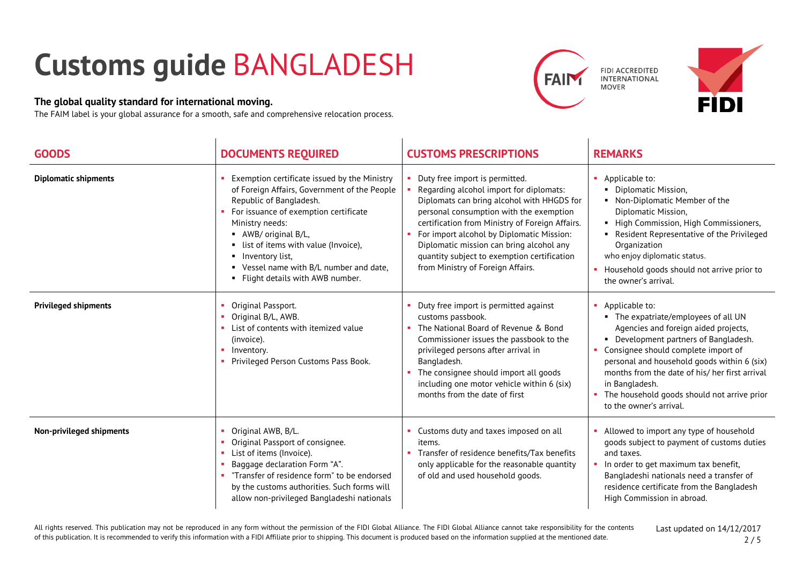## **Customs guide** BANGLADESH

## **The global quality standard for international moving.**

The FAIM label is your global assurance for a smooth, safe and comprehensive relocation process.





| <b>GOODS</b>                | <b>DOCUMENTS REQUIRED</b>                                                                                                                                                                                                                                                                                                                                 | <b>CUSTOMS PRESCRIPTIONS</b>                                                                                                                                                                                                                                                                                                                                                                           | <b>REMARKS</b>                                                                                                                                                                                                                                                                                                                                                                |
|-----------------------------|-----------------------------------------------------------------------------------------------------------------------------------------------------------------------------------------------------------------------------------------------------------------------------------------------------------------------------------------------------------|--------------------------------------------------------------------------------------------------------------------------------------------------------------------------------------------------------------------------------------------------------------------------------------------------------------------------------------------------------------------------------------------------------|-------------------------------------------------------------------------------------------------------------------------------------------------------------------------------------------------------------------------------------------------------------------------------------------------------------------------------------------------------------------------------|
| <b>Diplomatic shipments</b> | Exemption certificate issued by the Ministry<br>of Foreign Affairs, Government of the People<br>Republic of Bangladesh.<br>For issuance of exemption certificate<br>Ministry needs:<br>• AWB/ original B/L,<br>• list of items with value (Invoice),<br>• Inventory list,<br>• Vessel name with B/L number and date,<br>• Flight details with AWB number. | • Duty free import is permitted.<br>Regarding alcohol import for diplomats:<br>Diplomats can bring alcohol with HHGDS for<br>personal consumption with the exemption<br>certification from Ministry of Foreign Affairs.<br>• For import alcohol by Diplomatic Mission:<br>Diplomatic mission can bring alcohol any<br>quantity subject to exemption certification<br>from Ministry of Foreign Affairs. | • Applicable to:<br>• Diplomatic Mission,<br>• Non-Diplomatic Member of the<br>Diplomatic Mission,<br>• High Commission, High Commissioners,<br>Resident Representative of the Privileged<br>Organization<br>who enjoy diplomatic status.<br>Household goods should not arrive prior to<br>the owner's arrival.                                                               |
| <b>Privileged shipments</b> | Original Passport.<br>Original B/L, AWB.<br>List of contents with itemized value<br>(invoice).<br>Inventory.<br>Privileged Person Customs Pass Book.                                                                                                                                                                                                      | Duty free import is permitted against<br>customs passbook.<br>The National Board of Revenue & Bond<br>Commissioner issues the passbook to the<br>privileged persons after arrival in<br>Bangladesh.<br>The consignee should import all goods<br>including one motor vehicle within 6 (six)<br>months from the date of first                                                                            | • Applicable to:<br>• The expatriate/employees of all UN<br>Agencies and foreign aided projects,<br>• Development partners of Bangladesh.<br>Consignee should complete import of<br>personal and household goods within 6 (six)<br>months from the date of his/ her first arrival<br>in Bangladesh.<br>The household goods should not arrive prior<br>to the owner's arrival. |
| Non-privileged shipments    | Original AWB, B/L.<br>Original Passport of consignee.<br>List of items (Invoice).<br>Baggage declaration Form "A".<br>"Transfer of residence form" to be endorsed<br>by the customs authorities. Such forms will<br>allow non-privileged Bangladeshi nationals                                                                                            | • Customs duty and taxes imposed on all<br>items.<br>• Transfer of residence benefits/Tax benefits<br>only applicable for the reasonable quantity<br>of old and used household goods.                                                                                                                                                                                                                  | Allowed to import any type of household<br>goods subject to payment of customs duties<br>and taxes.<br>In order to get maximum tax benefit,<br>Bangladeshi nationals need a transfer of<br>residence certificate from the Bangladesh<br>High Commission in abroad.                                                                                                            |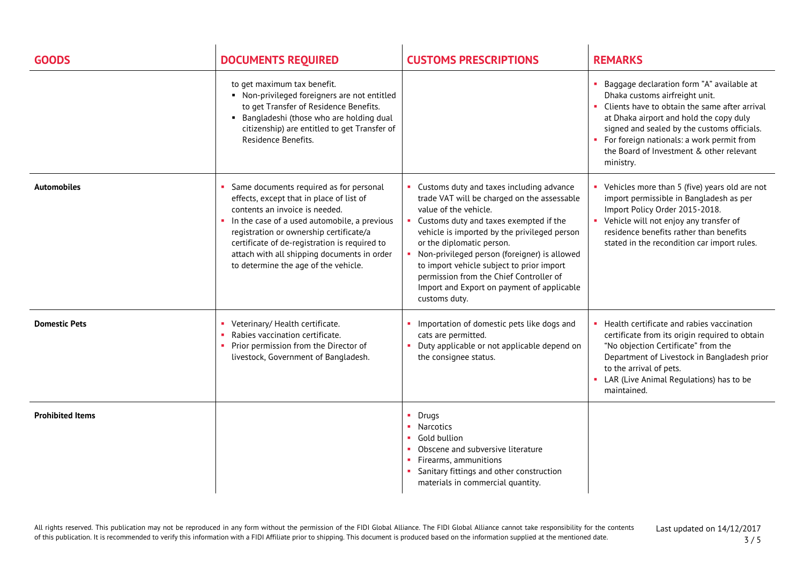| <b>GOODS</b>            | <b>DOCUMENTS REQUIRED</b>                                                                                                                                                                                                                                                                                                                                | <b>CUSTOMS PRESCRIPTIONS</b>                                                                                                                                                                                                                                                                                                                                                                                                                   | <b>REMARKS</b>                                                                                                                                                                                                                                                                                                                 |
|-------------------------|----------------------------------------------------------------------------------------------------------------------------------------------------------------------------------------------------------------------------------------------------------------------------------------------------------------------------------------------------------|------------------------------------------------------------------------------------------------------------------------------------------------------------------------------------------------------------------------------------------------------------------------------------------------------------------------------------------------------------------------------------------------------------------------------------------------|--------------------------------------------------------------------------------------------------------------------------------------------------------------------------------------------------------------------------------------------------------------------------------------------------------------------------------|
|                         | to get maximum tax benefit.<br>• Non-privileged foreigners are not entitled<br>to get Transfer of Residence Benefits.<br>• Bangladeshi (those who are holding dual<br>citizenship) are entitled to get Transfer of<br>Residence Benefits.                                                                                                                |                                                                                                                                                                                                                                                                                                                                                                                                                                                | Baggage declaration form "A" available at<br>Dhaka customs airfreight unit.<br>Clients have to obtain the same after arrival<br>at Dhaka airport and hold the copy duly<br>signed and sealed by the customs officials.<br>• For foreign nationals: a work permit from<br>the Board of Investment & other relevant<br>ministry. |
| <b>Automobiles</b>      | Same documents required as for personal<br>effects, except that in place of list of<br>contents an invoice is needed.<br>In the case of a used automobile, a previous<br>registration or ownership certificate/a<br>certificate of de-registration is required to<br>attach with all shipping documents in order<br>to determine the age of the vehicle. | Customs duty and taxes including advance<br>trade VAT will be charged on the assessable<br>value of the vehicle.<br>Customs duty and taxes exempted if the<br>vehicle is imported by the privileged person<br>or the diplomatic person.<br>Non-privileged person (foreigner) is allowed<br>to import vehicle subject to prior import<br>permission from the Chief Controller of<br>Import and Export on payment of applicable<br>customs duty. | Vehicles more than 5 (five) years old are not<br>import permissible in Bangladesh as per<br>Import Policy Order 2015-2018.<br>• Vehicle will not enjoy any transfer of<br>residence benefits rather than benefits<br>stated in the recondition car import rules.                                                               |
| <b>Domestic Pets</b>    | Veterinary/ Health certificate.<br>Rabies vaccination certificate.<br>Prior permission from the Director of<br>livestock, Government of Bangladesh.                                                                                                                                                                                                      | Importation of domestic pets like dogs and<br>cats are permitted.<br>Duty applicable or not applicable depend on<br>the consignee status.                                                                                                                                                                                                                                                                                                      | Health certificate and rabies vaccination<br>certificate from its origin required to obtain<br>"No objection Certificate" from the<br>Department of Livestock in Bangladesh prior<br>to the arrival of pets.<br>LAR (Live Animal Regulations) has to be<br>maintained.                                                         |
| <b>Prohibited Items</b> |                                                                                                                                                                                                                                                                                                                                                          | Drugs<br>$\blacksquare$ Narcotics<br>Gold bullion<br>Obscene and subversive literature<br>Firearms, ammunitions<br>Sanitary fittings and other construction<br>materials in commercial quantity.                                                                                                                                                                                                                                               |                                                                                                                                                                                                                                                                                                                                |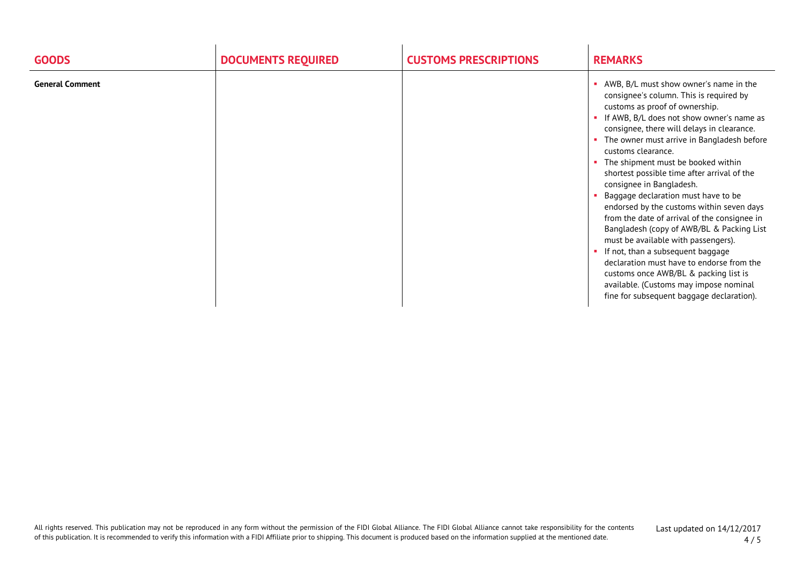| <b>GOODS</b>           | <b>DOCUMENTS REQUIRED</b> | <b>CUSTOMS PRESCRIPTIONS</b> | <b>REMARKS</b>                                                                                                                                                                                                                                                                                                                                                                                                                                                                                                                                                                                                                                                                                                                                                                                                                                        |
|------------------------|---------------------------|------------------------------|-------------------------------------------------------------------------------------------------------------------------------------------------------------------------------------------------------------------------------------------------------------------------------------------------------------------------------------------------------------------------------------------------------------------------------------------------------------------------------------------------------------------------------------------------------------------------------------------------------------------------------------------------------------------------------------------------------------------------------------------------------------------------------------------------------------------------------------------------------|
| <b>General Comment</b> |                           |                              | AWB, B/L must show owner's name in the<br>consignee's column. This is required by<br>customs as proof of ownership.<br>• If AWB, B/L does not show owner's name as<br>consignee, there will delays in clearance.<br>• The owner must arrive in Bangladesh before<br>customs clearance.<br>• The shipment must be booked within<br>shortest possible time after arrival of the<br>consignee in Bangladesh.<br>Baggage declaration must have to be<br>endorsed by the customs within seven days<br>from the date of arrival of the consignee in<br>Bangladesh (copy of AWB/BL & Packing List<br>must be available with passengers).<br>• If not, than a subsequent baggage<br>declaration must have to endorse from the<br>customs once AWB/BL & packing list is<br>available. (Customs may impose nominal<br>fine for subsequent baggage declaration). |